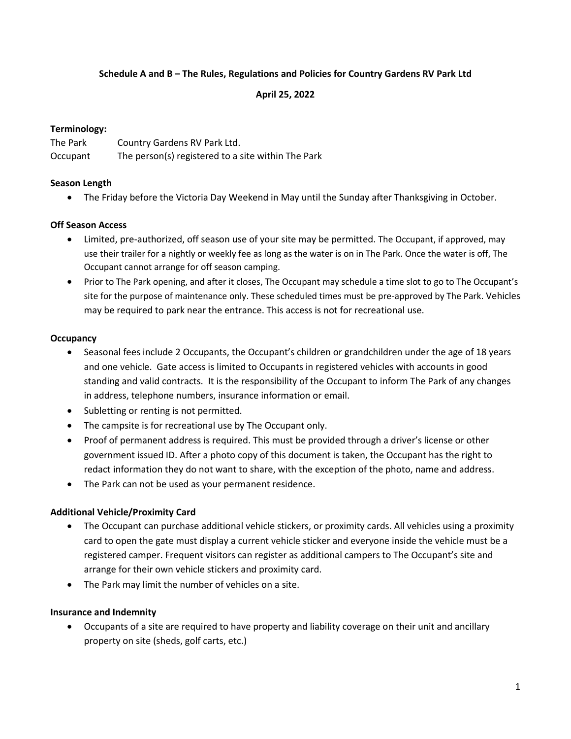### **Schedule A and B – The Rules, Regulations and Policies for Country Gardens RV Park Ltd**

#### **April 25, 2022**

### **Terminology:**

| The Park | Country Gardens RV Park Ltd.                       |
|----------|----------------------------------------------------|
| Occupant | The person(s) registered to a site within The Park |

#### **Season Length**

• The Friday before the Victoria Day Weekend in May until the Sunday after Thanksgiving in October.

### **Off Season Access**

- Limited, pre-authorized, off season use of your site may be permitted. The Occupant, if approved, may use their trailer for a nightly or weekly fee as long as the water is on in The Park. Once the water is off, The Occupant cannot arrange for off season camping.
- Prior to The Park opening, and after it closes, The Occupant may schedule a time slot to go to The Occupant's site for the purpose of maintenance only. These scheduled times must be pre-approved by The Park. Vehicles may be required to park near the entrance. This access is not for recreational use.

#### **Occupancy**

- Seasonal fees include 2 Occupants, the Occupant's children or grandchildren under the age of 18 years and one vehicle. Gate access is limited to Occupants in registered vehicles with accounts in good standing and valid contracts. It is the responsibility of the Occupant to inform The Park of any changes in address, telephone numbers, insurance information or email.
- Subletting or renting is not permitted.
- The campsite is for recreational use by The Occupant only.
- Proof of permanent address is required. This must be provided through a driver's license or other government issued ID. After a photo copy of this document is taken, the Occupant has the right to redact information they do not want to share, with the exception of the photo, name and address.
- The Park can not be used as your permanent residence.

#### **Additional Vehicle/Proximity Card**

- The Occupant can purchase additional vehicle stickers, or proximity cards. All vehicles using a proximity card to open the gate must display a current vehicle sticker and everyone inside the vehicle must be a registered camper. Frequent visitors can register as additional campers to The Occupant's site and arrange for their own vehicle stickers and proximity card.
- The Park may limit the number of vehicles on a site.

#### **Insurance and Indemnity**

• Occupants of a site are required to have property and liability coverage on their unit and ancillary property on site (sheds, golf carts, etc.)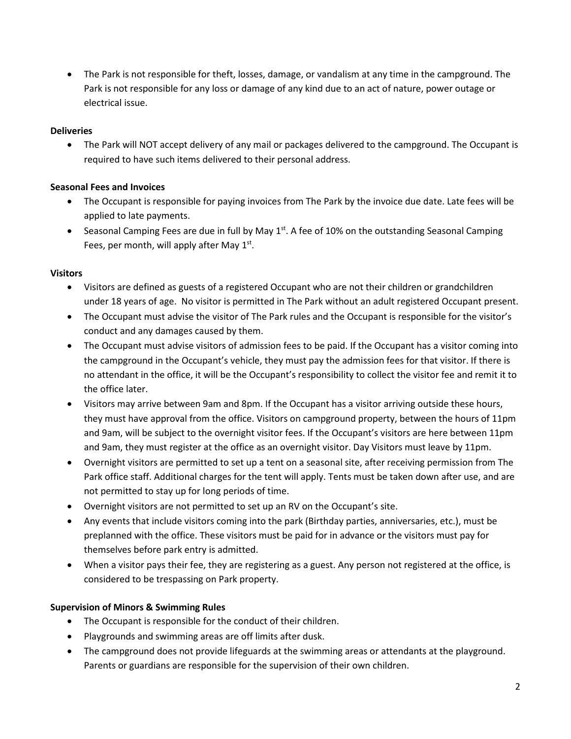• The Park is not responsible for theft, losses, damage, or vandalism at any time in the campground. The Park is not responsible for any loss or damage of any kind due to an act of nature, power outage or electrical issue.

# **Deliveries**

• The Park will NOT accept delivery of any mail or packages delivered to the campground. The Occupant is required to have such items delivered to their personal address.

### **Seasonal Fees and Invoices**

- The Occupant is responsible for paying invoices from The Park by the invoice due date. Late fees will be applied to late payments.
- Seasonal Camping Fees are due in full by May 1st. A fee of 10% on the outstanding Seasonal Camping Fees, per month, will apply after May 1st.

### **Visitors**

- Visitors are defined as guests of a registered Occupant who are not their children or grandchildren under 18 years of age. No visitor is permitted in The Park without an adult registered Occupant present.
- The Occupant must advise the visitor of The Park rules and the Occupant is responsible for the visitor's conduct and any damages caused by them.
- The Occupant must advise visitors of admission fees to be paid. If the Occupant has a visitor coming into the campground in the Occupant's vehicle, they must pay the admission fees for that visitor. If there is no attendant in the office, it will be the Occupant's responsibility to collect the visitor fee and remit it to the office later.
- Visitors may arrive between 9am and 8pm. If the Occupant has a visitor arriving outside these hours, they must have approval from the office. Visitors on campground property, between the hours of 11pm and 9am, will be subject to the overnight visitor fees. If the Occupant's visitors are here between 11pm and 9am, they must register at the office as an overnight visitor. Day Visitors must leave by 11pm.
- Overnight visitors are permitted to set up a tent on a seasonal site, after receiving permission from The Park office staff. Additional charges for the tent will apply. Tents must be taken down after use, and are not permitted to stay up for long periods of time.
- Overnight visitors are not permitted to set up an RV on the Occupant's site.
- Any events that include visitors coming into the park (Birthday parties, anniversaries, etc.), must be preplanned with the office. These visitors must be paid for in advance or the visitors must pay for themselves before park entry is admitted.
- When a visitor pays their fee, they are registering as a guest. Any person not registered at the office, is considered to be trespassing on Park property.

#### **Supervision of Minors & Swimming Rules**

- The Occupant is responsible for the conduct of their children.
- Playgrounds and swimming areas are off limits after dusk.
- The campground does not provide lifeguards at the swimming areas or attendants at the playground. Parents or guardians are responsible for the supervision of their own children.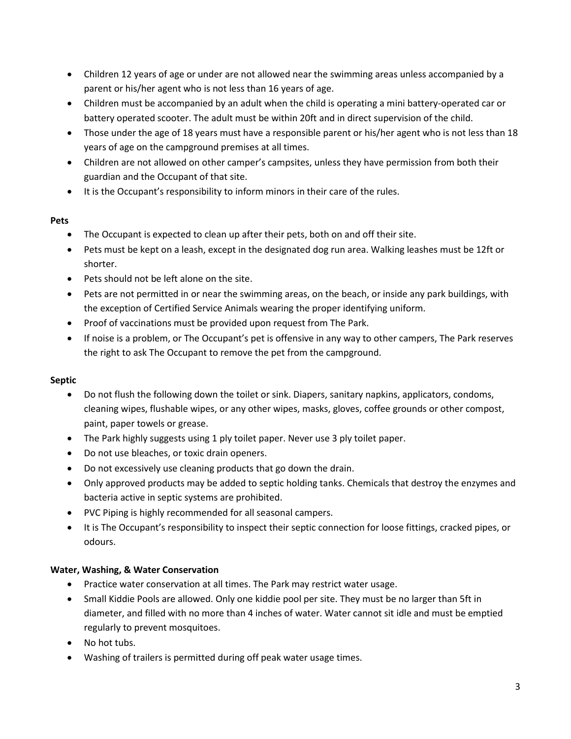- Children 12 years of age or under are not allowed near the swimming areas unless accompanied by a parent or his/her agent who is not less than 16 years of age.
- Children must be accompanied by an adult when the child is operating a mini battery-operated car or battery operated scooter. The adult must be within 20ft and in direct supervision of the child.
- Those under the age of 18 years must have a responsible parent or his/her agent who is not less than 18 years of age on the campground premises at all times.
- Children are not allowed on other camper's campsites, unless they have permission from both their guardian and the Occupant of that site.
- It is the Occupant's responsibility to inform minors in their care of the rules.

# **Pets**

- The Occupant is expected to clean up after their pets, both on and off their site.
- Pets must be kept on a leash, except in the designated dog run area. Walking leashes must be 12ft or shorter.
- Pets should not be left alone on the site.
- Pets are not permitted in or near the swimming areas, on the beach, or inside any park buildings, with the exception of Certified Service Animals wearing the proper identifying uniform.
- Proof of vaccinations must be provided upon request from The Park.
- If noise is a problem, or The Occupant's pet is offensive in any way to other campers, The Park reserves the right to ask The Occupant to remove the pet from the campground.

# **Septic**

- Do not flush the following down the toilet or sink. Diapers, sanitary napkins, applicators, condoms, cleaning wipes, flushable wipes, or any other wipes, masks, gloves, coffee grounds or other compost, paint, paper towels or grease.
- The Park highly suggests using 1 ply toilet paper. Never use 3 ply toilet paper.
- Do not use bleaches, or toxic drain openers.
- Do not excessively use cleaning products that go down the drain.
- Only approved products may be added to septic holding tanks. Chemicals that destroy the enzymes and bacteria active in septic systems are prohibited.
- PVC Piping is highly recommended for all seasonal campers.
- It is The Occupant's responsibility to inspect their septic connection for loose fittings, cracked pipes, or odours.

# **Water, Washing, & Water Conservation**

- Practice water conservation at all times. The Park may restrict water usage.
- Small Kiddie Pools are allowed. Only one kiddie pool per site. They must be no larger than 5ft in diameter, and filled with no more than 4 inches of water. Water cannot sit idle and must be emptied regularly to prevent mosquitoes.
- No hot tubs.
- Washing of trailers is permitted during off peak water usage times.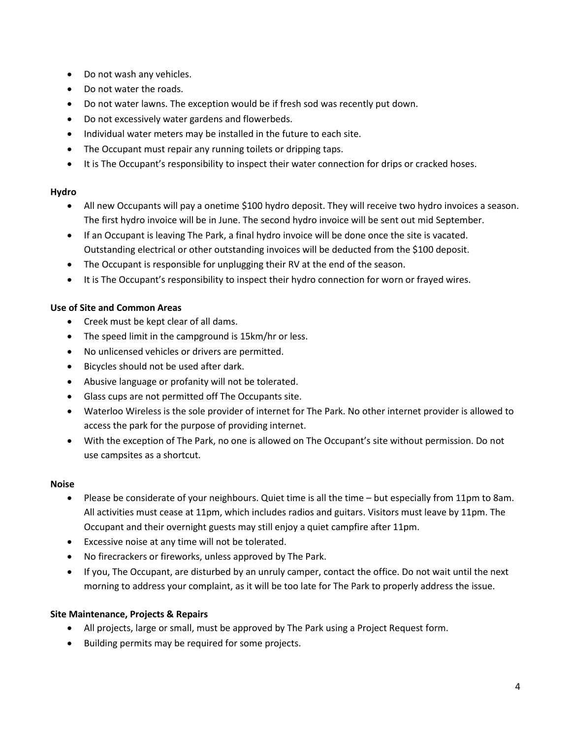- Do not wash any vehicles.
- Do not water the roads.
- Do not water lawns. The exception would be if fresh sod was recently put down.
- Do not excessively water gardens and flowerbeds.
- Individual water meters may be installed in the future to each site.
- The Occupant must repair any running toilets or dripping taps.
- It is The Occupant's responsibility to inspect their water connection for drips or cracked hoses.

# **Hydro**

- All new Occupants will pay a onetime \$100 hydro deposit. They will receive two hydro invoices a season. The first hydro invoice will be in June. The second hydro invoice will be sent out mid September.
- If an Occupant is leaving The Park, a final hydro invoice will be done once the site is vacated. Outstanding electrical or other outstanding invoices will be deducted from the \$100 deposit.
- The Occupant is responsible for unplugging their RV at the end of the season.
- It is The Occupant's responsibility to inspect their hydro connection for worn or frayed wires.

# **Use of Site and Common Areas**

- Creek must be kept clear of all dams.
- The speed limit in the campground is 15km/hr or less.
- No unlicensed vehicles or drivers are permitted.
- Bicycles should not be used after dark.
- Abusive language or profanity will not be tolerated.
- Glass cups are not permitted off The Occupants site.
- Waterloo Wireless is the sole provider of internet for The Park. No other internet provider is allowed to access the park for the purpose of providing internet.
- With the exception of The Park, no one is allowed on The Occupant's site without permission. Do not use campsites as a shortcut.

#### **Noise**

- Please be considerate of your neighbours. Quiet time is all the time but especially from 11pm to 8am. All activities must cease at 11pm, which includes radios and guitars. Visitors must leave by 11pm. The Occupant and their overnight guests may still enjoy a quiet campfire after 11pm.
- Excessive noise at any time will not be tolerated.
- No firecrackers or fireworks, unless approved by The Park.
- If you, The Occupant, are disturbed by an unruly camper, contact the office. Do not wait until the next morning to address your complaint, as it will be too late for The Park to properly address the issue.

# **Site Maintenance, Projects & Repairs**

- All projects, large or small, must be approved by The Park using a Project Request form.
- Building permits may be required for some projects.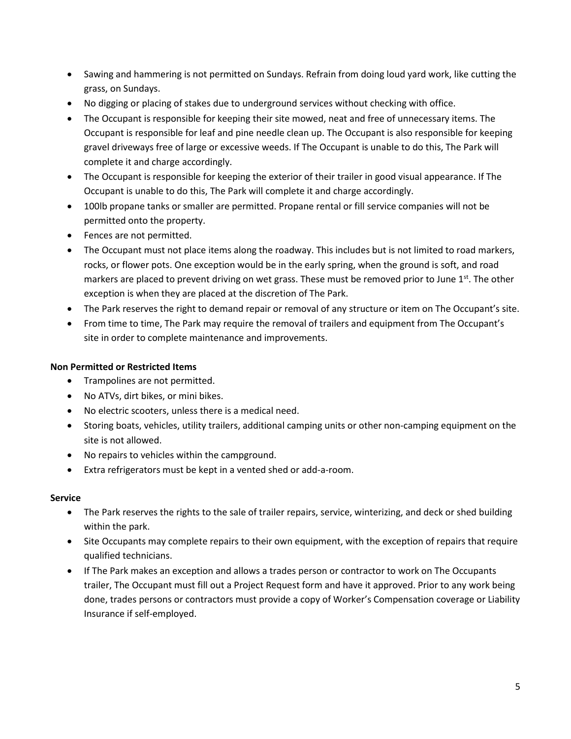- Sawing and hammering is not permitted on Sundays. Refrain from doing loud yard work, like cutting the grass, on Sundays.
- No digging or placing of stakes due to underground services without checking with office.
- The Occupant is responsible for keeping their site mowed, neat and free of unnecessary items. The Occupant is responsible for leaf and pine needle clean up. The Occupant is also responsible for keeping gravel driveways free of large or excessive weeds. If The Occupant is unable to do this, The Park will complete it and charge accordingly.
- The Occupant is responsible for keeping the exterior of their trailer in good visual appearance. If The Occupant is unable to do this, The Park will complete it and charge accordingly.
- 100lb propane tanks or smaller are permitted. Propane rental or fill service companies will not be permitted onto the property.
- Fences are not permitted.
- The Occupant must not place items along the roadway. This includes but is not limited to road markers, rocks, or flower pots. One exception would be in the early spring, when the ground is soft, and road markers are placed to prevent driving on wet grass. These must be removed prior to June  $1<sup>st</sup>$ . The other exception is when they are placed at the discretion of The Park.
- The Park reserves the right to demand repair or removal of any structure or item on The Occupant's site.
- From time to time, The Park may require the removal of trailers and equipment from The Occupant's site in order to complete maintenance and improvements.

# **Non Permitted or Restricted Items**

- Trampolines are not permitted.
- No ATVs, dirt bikes, or mini bikes.
- No electric scooters, unless there is a medical need.
- Storing boats, vehicles, utility trailers, additional camping units or other non-camping equipment on the site is not allowed.
- No repairs to vehicles within the campground.
- Extra refrigerators must be kept in a vented shed or add-a-room.

# **Service**

- The Park reserves the rights to the sale of trailer repairs, service, winterizing, and deck or shed building within the park.
- Site Occupants may complete repairs to their own equipment, with the exception of repairs that require qualified technicians.
- If The Park makes an exception and allows a trades person or contractor to work on The Occupants trailer, The Occupant must fill out a Project Request form and have it approved. Prior to any work being done, trades persons or contractors must provide a copy of Worker's Compensation coverage or Liability Insurance if self-employed.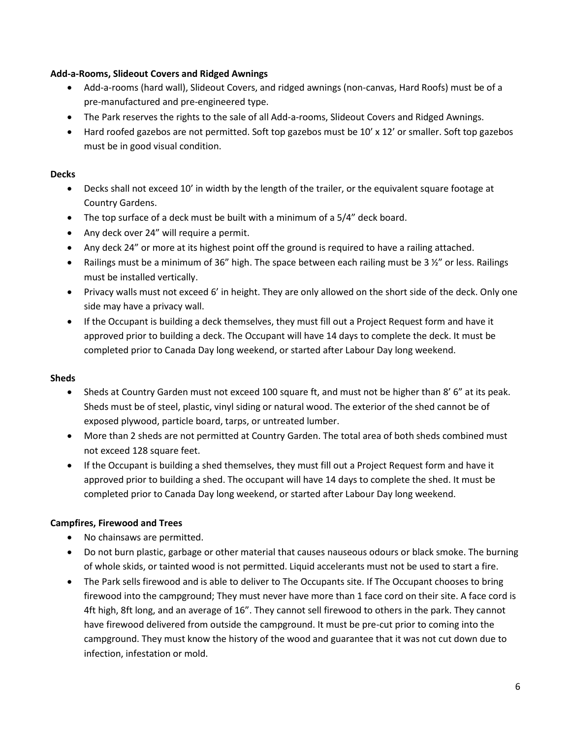### **Add-a-Rooms, Slideout Covers and Ridged Awnings**

- Add-a-rooms (hard wall), Slideout Covers, and ridged awnings (non-canvas, Hard Roofs) must be of a pre-manufactured and pre-engineered type.
- The Park reserves the rights to the sale of all Add-a-rooms, Slideout Covers and Ridged Awnings.
- Hard roofed gazebos are not permitted. Soft top gazebos must be 10' x 12' or smaller. Soft top gazebos must be in good visual condition.

### **Decks**

- Decks shall not exceed 10' in width by the length of the trailer, or the equivalent square footage at Country Gardens.
- The top surface of a deck must be built with a minimum of a 5/4" deck board.
- Any deck over 24" will require a permit.
- Any deck 24" or more at its highest point off the ground is required to have a railing attached.
- Railings must be a minimum of 36" high. The space between each railing must be 3  $\frac{1}{2}$ " or less. Railings must be installed vertically.
- Privacy walls must not exceed 6' in height. They are only allowed on the short side of the deck. Only one side may have a privacy wall.
- If the Occupant is building a deck themselves, they must fill out a Project Request form and have it approved prior to building a deck. The Occupant will have 14 days to complete the deck. It must be completed prior to Canada Day long weekend, or started after Labour Day long weekend.

# **Sheds**

- Sheds at Country Garden must not exceed 100 square ft, and must not be higher than 8' 6" at its peak. Sheds must be of steel, plastic, vinyl siding or natural wood. The exterior of the shed cannot be of exposed plywood, particle board, tarps, or untreated lumber.
- More than 2 sheds are not permitted at Country Garden. The total area of both sheds combined must not exceed 128 square feet.
- If the Occupant is building a shed themselves, they must fill out a Project Request form and have it approved prior to building a shed. The occupant will have 14 days to complete the shed. It must be completed prior to Canada Day long weekend, or started after Labour Day long weekend.

# **Campfires, Firewood and Trees**

- No chainsaws are permitted.
- Do not burn plastic, garbage or other material that causes nauseous odours or black smoke. The burning of whole skids, or tainted wood is not permitted. Liquid accelerants must not be used to start a fire.
- The Park sells firewood and is able to deliver to The Occupants site. If The Occupant chooses to bring firewood into the campground; They must never have more than 1 face cord on their site. A face cord is 4ft high, 8ft long, and an average of 16". They cannot sell firewood to others in the park. They cannot have firewood delivered from outside the campground. It must be pre-cut prior to coming into the campground. They must know the history of the wood and guarantee that it was not cut down due to infection, infestation or mold.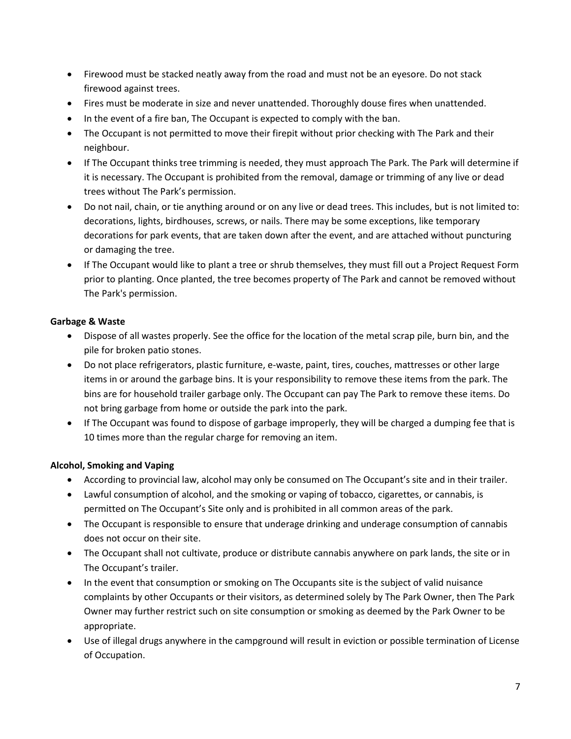- Firewood must be stacked neatly away from the road and must not be an eyesore. Do not stack firewood against trees.
- Fires must be moderate in size and never unattended. Thoroughly douse fires when unattended.
- In the event of a fire ban, The Occupant is expected to comply with the ban.
- The Occupant is not permitted to move their firepit without prior checking with The Park and their neighbour.
- If The Occupant thinks tree trimming is needed, they must approach The Park. The Park will determine if it is necessary. The Occupant is prohibited from the removal, damage or trimming of any live or dead trees without The Park's permission.
- Do not nail, chain, or tie anything around or on any live or dead trees. This includes, but is not limited to: decorations, lights, birdhouses, screws, or nails. There may be some exceptions, like temporary decorations for park events, that are taken down after the event, and are attached without puncturing or damaging the tree.
- If The Occupant would like to plant a tree or shrub themselves, they must fill out a Project Request Form prior to planting. Once planted, the tree becomes property of The Park and cannot be removed without The Park's permission.

# **Garbage & Waste**

- Dispose of all wastes properly. See the office for the location of the metal scrap pile, burn bin, and the pile for broken patio stones.
- Do not place refrigerators, plastic furniture, e-waste, paint, tires, couches, mattresses or other large items in or around the garbage bins. It is your responsibility to remove these items from the park. The bins are for household trailer garbage only. The Occupant can pay The Park to remove these items. Do not bring garbage from home or outside the park into the park.
- If The Occupant was found to dispose of garbage improperly, they will be charged a dumping fee that is 10 times more than the regular charge for removing an item.

# **Alcohol, Smoking and Vaping**

- According to provincial law, alcohol may only be consumed on The Occupant's site and in their trailer.
- Lawful consumption of alcohol, and the smoking or vaping of tobacco, cigarettes, or cannabis, is permitted on The Occupant's Site only and is prohibited in all common areas of the park.
- The Occupant is responsible to ensure that underage drinking and underage consumption of cannabis does not occur on their site.
- The Occupant shall not cultivate, produce or distribute cannabis anywhere on park lands, the site or in The Occupant's trailer.
- In the event that consumption or smoking on The Occupants site is the subject of valid nuisance complaints by other Occupants or their visitors, as determined solely by The Park Owner, then The Park Owner may further restrict such on site consumption or smoking as deemed by the Park Owner to be appropriate.
- Use of illegal drugs anywhere in the campground will result in eviction or possible termination of License of Occupation.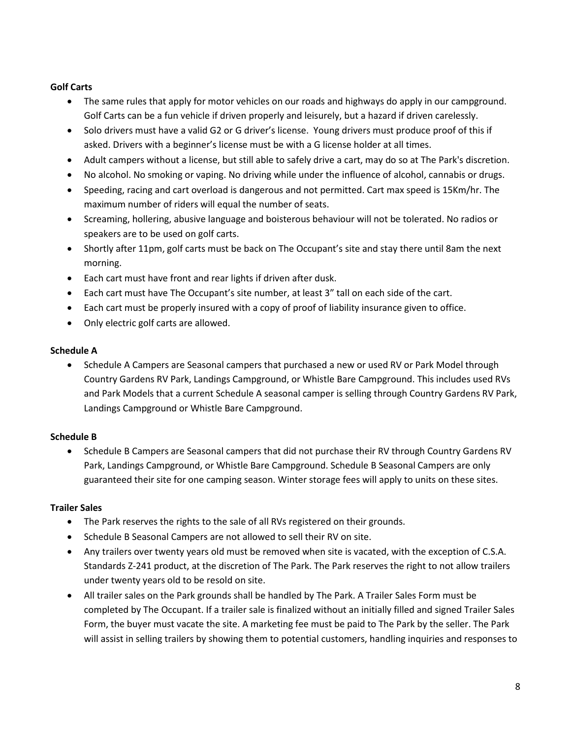# **Golf Carts**

- The same rules that apply for motor vehicles on our roads and highways do apply in our campground. Golf Carts can be a fun vehicle if driven properly and leisurely, but a hazard if driven carelessly.
- Solo drivers must have a valid G2 or G driver's license. Young drivers must produce proof of this if asked. Drivers with a beginner's license must be with a G license holder at all times.
- Adult campers without a license, but still able to safely drive a cart, may do so at The Park's discretion.
- No alcohol. No smoking or vaping. No driving while under the influence of alcohol, cannabis or drugs.
- Speeding, racing and cart overload is dangerous and not permitted. Cart max speed is 15Km/hr. The maximum number of riders will equal the number of seats.
- Screaming, hollering, abusive language and boisterous behaviour will not be tolerated. No radios or speakers are to be used on golf carts.
- Shortly after 11pm, golf carts must be back on The Occupant's site and stay there until 8am the next morning.
- Each cart must have front and rear lights if driven after dusk.
- Each cart must have The Occupant's site number, at least 3" tall on each side of the cart.
- Each cart must be properly insured with a copy of proof of liability insurance given to office.
- Only electric golf carts are allowed.

### **Schedule A**

• Schedule A Campers are Seasonal campers that purchased a new or used RV or Park Model through Country Gardens RV Park, Landings Campground, or Whistle Bare Campground. This includes used RVs and Park Models that a current Schedule A seasonal camper is selling through Country Gardens RV Park, Landings Campground or Whistle Bare Campground.

# **Schedule B**

• Schedule B Campers are Seasonal campers that did not purchase their RV through Country Gardens RV Park, Landings Campground, or Whistle Bare Campground. Schedule B Seasonal Campers are only guaranteed their site for one camping season. Winter storage fees will apply to units on these sites.

# **Trailer Sales**

- The Park reserves the rights to the sale of all RVs registered on their grounds.
- Schedule B Seasonal Campers are not allowed to sell their RV on site.
- Any trailers over twenty years old must be removed when site is vacated, with the exception of C.S.A. Standards Z-241 product, at the discretion of The Park. The Park reserves the right to not allow trailers under twenty years old to be resold on site.
- All trailer sales on the Park grounds shall be handled by The Park. A Trailer Sales Form must be completed by The Occupant. If a trailer sale is finalized without an initially filled and signed Trailer Sales Form, the buyer must vacate the site. A marketing fee must be paid to The Park by the seller. The Park will assist in selling trailers by showing them to potential customers, handling inquiries and responses to